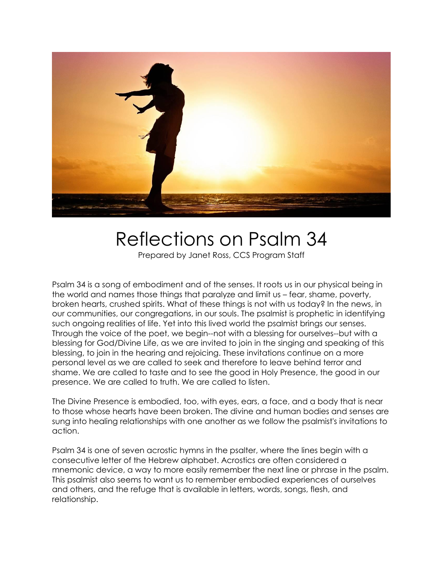

## Reflections on Psalm 34

Prepared by Janet Ross, CCS Program Staff

Psalm 34 is a song of embodiment and of the senses. It roots us in our physical being in the world and names those things that paralyze and limit us – fear, shame, poverty, broken hearts, crushed spirits. What of these things is not with us today? In the news, in our communities, our congregations, in our souls. The psalmist is prophetic in identifying such ongoing realities of life. Yet into this lived world the psalmist brings our senses. Through the voice of the poet, we begin--not with a blessing for ourselves--but with a blessing for God/Divine Life, as we are invited to join in the singing and speaking of this blessing, to join in the hearing and rejoicing. These invitations continue on a more personal level as we are called to seek and therefore to leave behind terror and shame. We are called to taste and to see the good in Holy Presence, the good in our presence. We are called to truth. We are called to listen.

The Divine Presence is embodied, too, with eyes, ears, a face, and a body that is near to those whose hearts have been broken. The divine and human bodies and senses are sung into healing relationships with one another as we follow the psalmist's invitations to action.

Psalm 34 is one of seven acrostic hymns in the psalter, where the lines begin with a consecutive letter of the Hebrew alphabet. Acrostics are often considered a mnemonic device, a way to more easily remember the next line or phrase in the psalm. This psalmist also seems to want us to remember embodied experiences of ourselves and others, and the refuge that is available in letters, words, songs, flesh, and relationship.